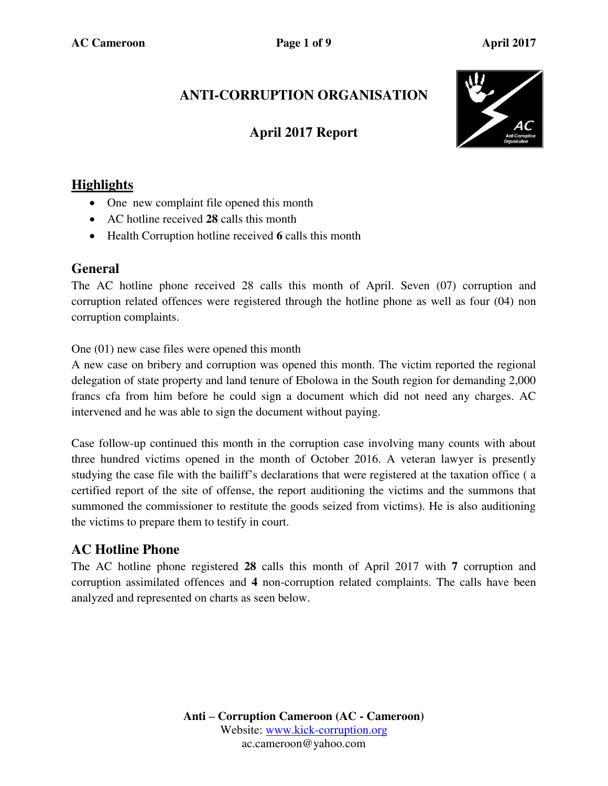# **ANTI-CORRUPTION ORGANISATION**

## **April 2017 Report**



### **Highlights**

- One new complaint file opened this month
- AC hotline received **28** calls this month
- Health Corruption hotline received **6** calls this month

#### **General**

The AC hotline phone received 28 calls this month of April. Seven (07) corruption and corruption related offences were registered through the hotline phone as well as four (04) non corruption complaints.

One (01) new case files were opened this month

A new case on bribery and corruption was opened this month. The victim reported the regional delegation of state property and land tenure of Ebolowa in the South region for demanding 2,000 francs cfa from him before he could sign a document which did not need any charges. AC intervened and he was able to sign the document without paying.

Case follow-up continued this month in the corruption case involving many counts with about three hundred victims opened in the month of October 2016. A veteran lawyer is presently studying the case file with the bailiff's declarations that were registered at the taxation office ( a certified report of the site of offense, the report auditioning the victims and the summons that summoned the commissioner to restitute the goods seized from victims). He is also auditioning the victims to prepare them to testify in court.

## **AC Hotline Phone**

The AC hotline phone registered **28** calls this month of April 2017 with **7** corruption and corruption assimilated offences and **4** non-corruption related complaints. The calls have been analyzed and represented on charts as seen below.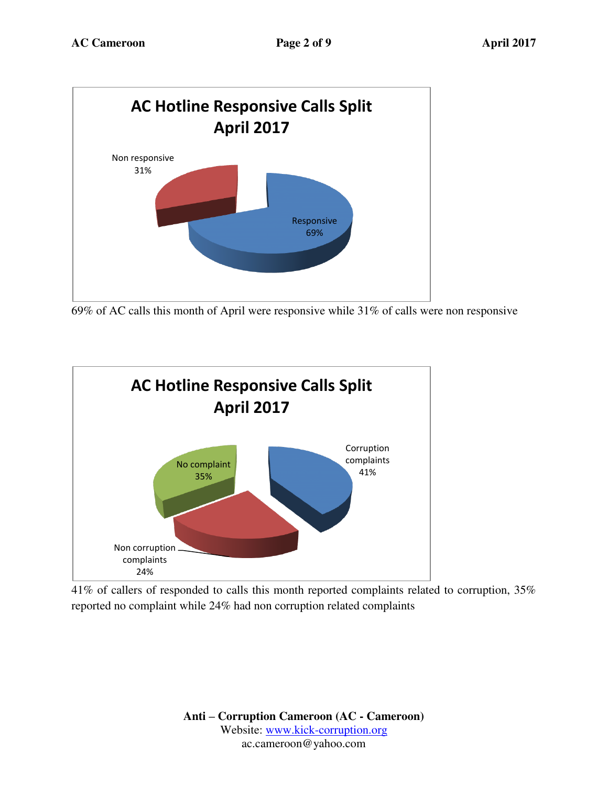

69% of AC calls this month of April were responsive while 31% of calls were non responsive



41% of callers of responded to calls this month reported complaints related to corruption, 35% reported no complaint while 24% had non corruption related complaints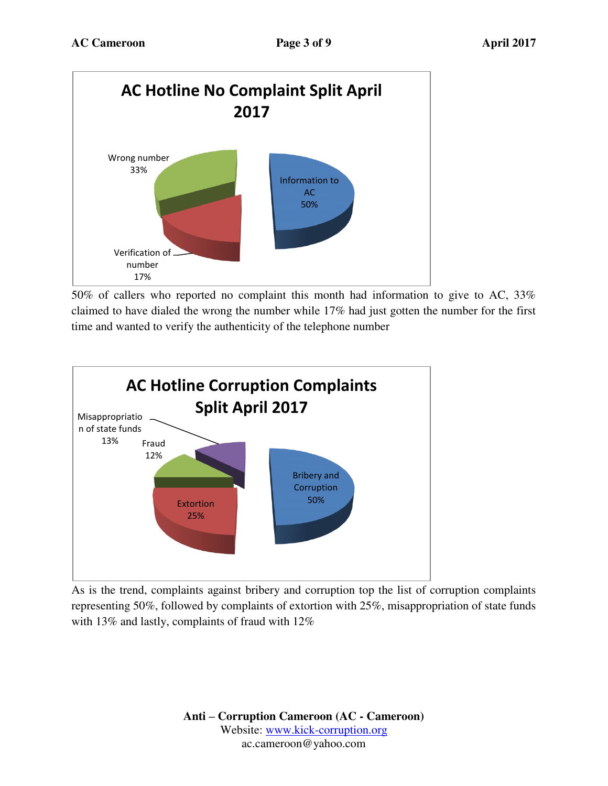

50% of callers who reported no complaint this month had information to give to AC, 33% claimed to have dialed the wrong the number while 17% had just gotten the number for the first time and wanted to verify the authenticity of the telephone number



As is the trend, complaints against bribery and corruption top the list of corruption complaints representing 50%, followed by complaints of extortion with 25%, misappropriation of state funds with 13% and lastly, complaints of fraud with 12%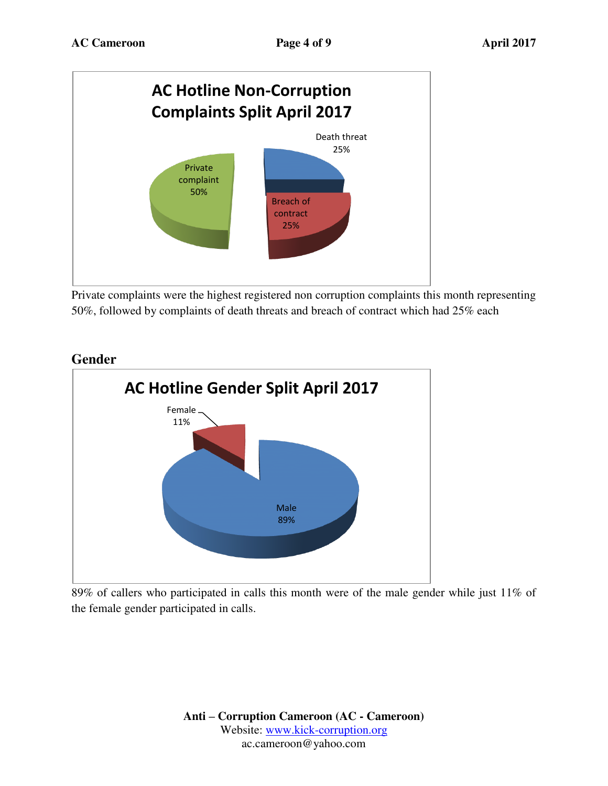

Private complaints were the highest registered non corruption complaints this month representing 50%, followed by complaints of death threats and breach of contract which had 25% each



#### 89% of callers who participated in calls this month were of the male gender while just 11% of the female gender participated in calls.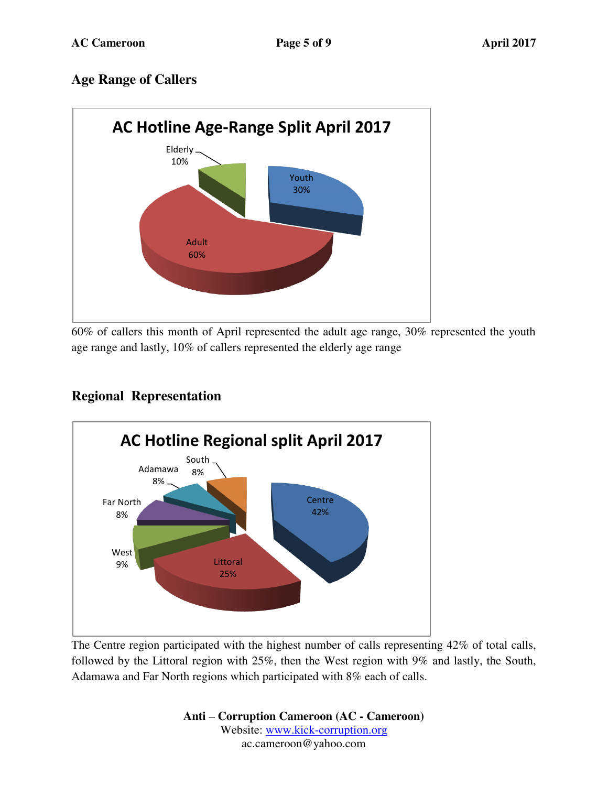## **Age Range of Callers**



60% of callers this month of April represented the adult age range, 30% represented the youth age range and lastly, 10% of callers represented the elderly age range

## **Regional Representation**



The Centre region participated with the highest number of calls representing 42% of total calls, followed by the Littoral region with 25%, then the West region with 9% and lastly, the South, Adamawa and Far North regions which participated with 8% each of calls.

> **Anti – Corruption Cameroon (AC - Cameroon)** Website: [www.kick-corruption.org](http://www.kick-corruption.org/) ac.cameroon@yahoo.com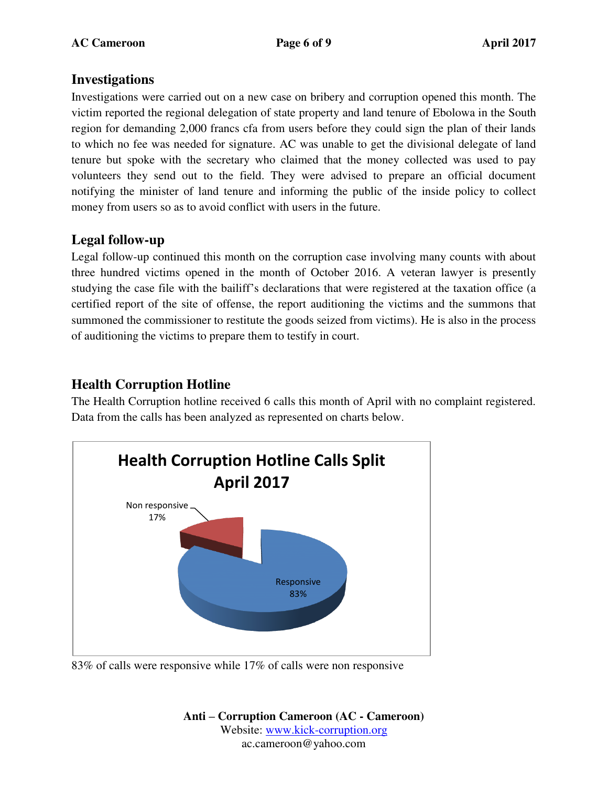#### **Investigations**

Investigations were carried out on a new case on bribery and corruption opened this month. The victim reported the regional delegation of state property and land tenure of Ebolowa in the South region for demanding 2,000 francs cfa from users before they could sign the plan of their lands to which no fee was needed for signature. AC was unable to get the divisional delegate of land tenure but spoke with the secretary who claimed that the money collected was used to pay volunteers they send out to the field. They were advised to prepare an official document notifying the minister of land tenure and informing the public of the inside policy to collect money from users so as to avoid conflict with users in the future.

## **Legal follow-up**

Legal follow-up continued this month on the corruption case involving many counts with about three hundred victims opened in the month of October 2016. A veteran lawyer is presently studying the case file with the bailiff's declarations that were registered at the taxation office (a certified report of the site of offense, the report auditioning the victims and the summons that summoned the commissioner to restitute the goods seized from victims). He is also in the process of auditioning the victims to prepare them to testify in court.

## **Health Corruption Hotline**

The Health Corruption hotline received 6 calls this month of April with no complaint registered. Data from the calls has been analyzed as represented on charts below.



83% of calls were responsive while 17% of calls were non responsive

**Anti – Corruption Cameroon (AC - Cameroon)** Website: [www.kick-corruption.org](http://www.kick-corruption.org/) ac.cameroon@yahoo.com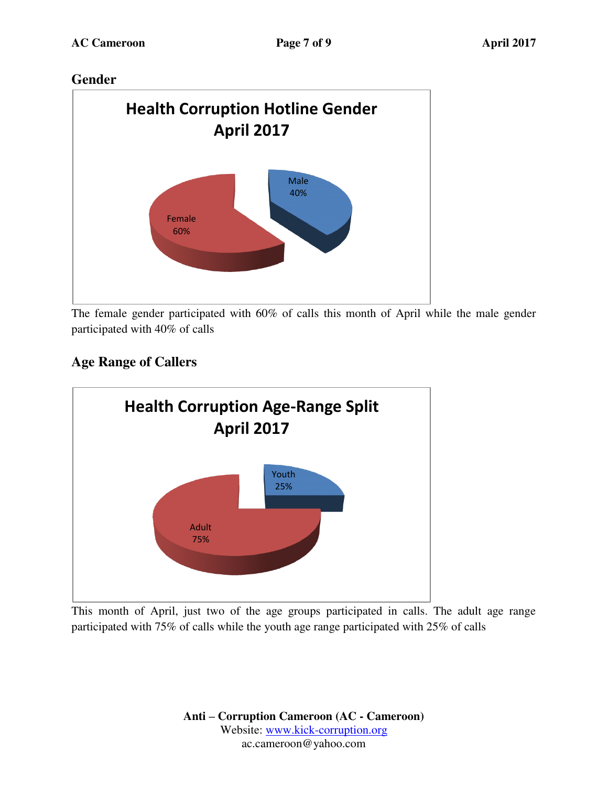## **Gender**



The female gender participated with 60% of calls this month of April while the male gender participated with 40% of calls

# **Age Range of Callers**



This month of April, just two of the age groups participated in calls. The adult age range participated with 75% of calls while the youth age range participated with 25% of calls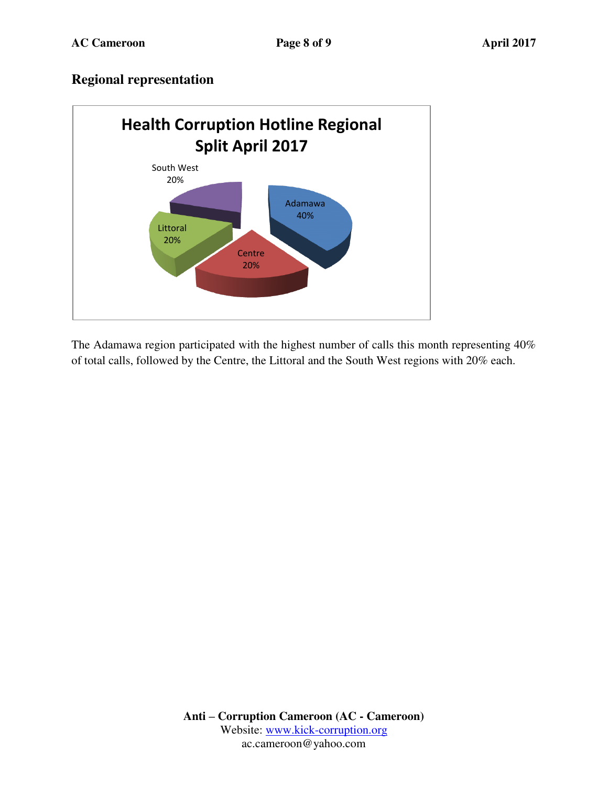#### **Regional representation**



The Adamawa region participated with the highest number of calls this month representing 40% of total calls, followed by the Centre, the Littoral and the South West regions with 20% each.